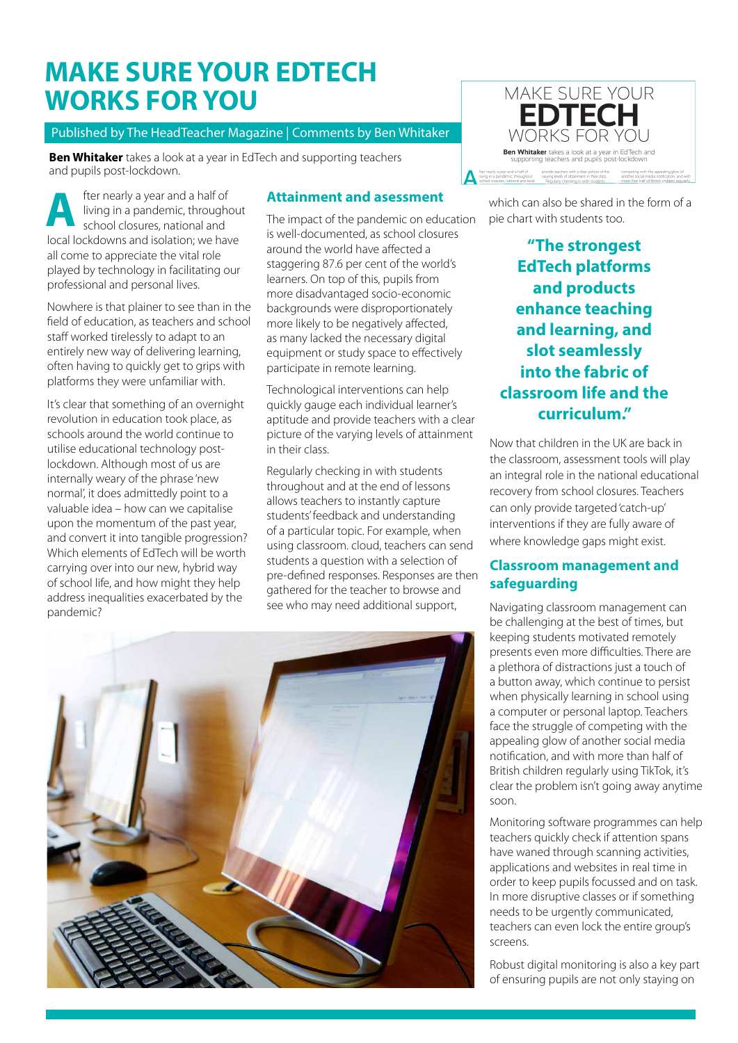# **MAKE SURE YOUR EDTECH WORKS FOR YOU**

#### Published by The HeadTeacher Magazine | Comments by Ben Whitaker

**Ben Whitaker** takes a look at a year in EdTech and supporting teachers and pupils post-lockdown.

fter nearly a year and a half of living in a pandemic, throughout school closures, national and **A** local lockdowns and isolation; we have all come to appreciate the vital role played by technology in facilitating our professional and personal lives.

Nowhere is that plainer to see than in the field of education, as teachers and school staff worked tirelessly to adapt to an entirely new way of delivering learning, often having to quickly get to grips with platforms they were unfamiliar with.

It's clear that something of an overnight revolution in education took place, as schools around the world continue to utilise educational technology postlockdown. Although most of us are internally weary of the phrase 'new normal', it does admittedly point to a valuable idea – how can we capitalise upon the momentum of the past year, and convert it into tangible progression? Which elements of EdTech will be worth carrying over into our new, hybrid way of school life, and how might they help address inequalities exacerbated by the pandemic?

#### **Attainment and asessment**

The impact of the pandemic on education is well-documented, as school closures around the world have affected a staggering 87.6 per cent of the world's learners. On top of this, pupils from more disadvantaged socio-economic backgrounds were disproportionately more likely to be negatively affected, as many lacked the necessary digital equipment or study space to effectively participate in remote learning.

Technological interventions can help quickly gauge each individual learner's aptitude and provide teachers with a clear picture of the varying levels of attainment in their class.

Regularly checking in with students throughout and at the end of lessons allows teachers to instantly capture students' feedback and understanding of a particular topic. For example, when using classroom. cloud, teachers can send students a question with a selection of pre-defined responses. Responses are then gathered for the teacher to browse and see who may need additional support,





which can also be shared in the form of a pie chart with students too.

**"The strongest EdTech platforms and products enhance teaching and learning, and slot seamlessly into the fabric of classroom life and the curriculum."**

Now that children in the UK are back in the classroom, assessment tools will play an integral role in the national educational recovery from school closures. Teachers can only provide targeted 'catch-up' interventions if they are fully aware of where knowledge gaps might exist.

### **Classroom management and safeguarding**

Navigating classroom management can be challenging at the best of times, but keeping students motivated remotely presents even more difficulties. There are a plethora of distractions just a touch of a button away, which continue to persist when physically learning in school using a computer or personal laptop. Teachers face the struggle of competing with the appealing glow of another social media notification, and with more than half of British children regularly using TikTok, it's clear the problem isn't going away anytime soon.

Monitoring software programmes can help teachers quickly check if attention spans have waned through scanning activities, applications and websites in real time in order to keep pupils focussed and on task. In more disruptive classes or if something needs to be urgently communicated, teachers can even lock the entire group's screens.

Robust digital monitoring is also a key part of ensuring pupils are not only staying on